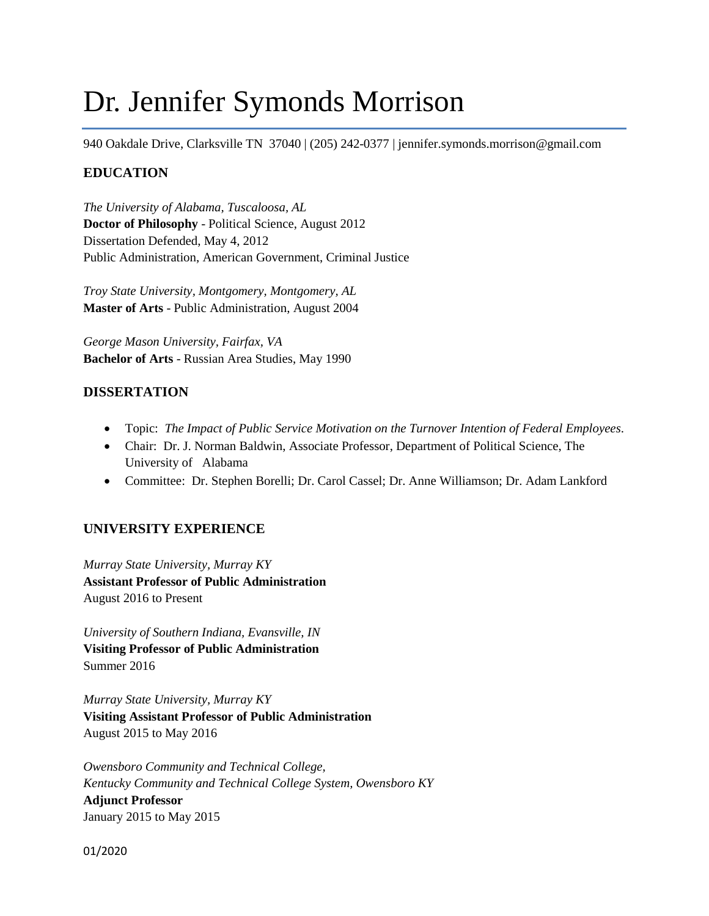# Dr. Jennifer Symonds Morrison

940 Oakdale Drive, Clarksville TN 37040 | (205) 242-0377 | jennifer.symonds.morrison@gmail.com

# **EDUCATION**

*The University of Alabama, Tuscaloosa, AL*  **Doctor of Philosophy** - Political Science, August 2012 Dissertation Defended, May 4, 2012 Public Administration, American Government, Criminal Justice

*Troy State University, Montgomery, Montgomery, AL*  **Master of Arts** - Public Administration, August 2004

*George Mason University, Fairfax, VA*  **Bachelor of Arts** - Russian Area Studies, May 1990

# **DISSERTATION**

- Topic: *The Impact of Public Service Motivation on the Turnover Intention of Federal Employees*.
- Chair: Dr. J. Norman Baldwin, Associate Professor, Department of Political Science, The University of Alabama
- Committee: Dr. Stephen Borelli; Dr. Carol Cassel; Dr. Anne Williamson; Dr. Adam Lankford

# **UNIVERSITY EXPERIENCE**

*Murray State University, Murray KY* **Assistant Professor of Public Administration** August 2016 to Present

*University of Southern Indiana, Evansville, IN* **Visiting Professor of Public Administration** Summer 2016

*Murray State University, Murray KY* **Visiting Assistant Professor of Public Administration** August 2015 to May 2016

*Owensboro Community and Technical College, Kentucky Community and Technical College System, Owensboro KY* **Adjunct Professor**  January 2015 to May 2015

01/2020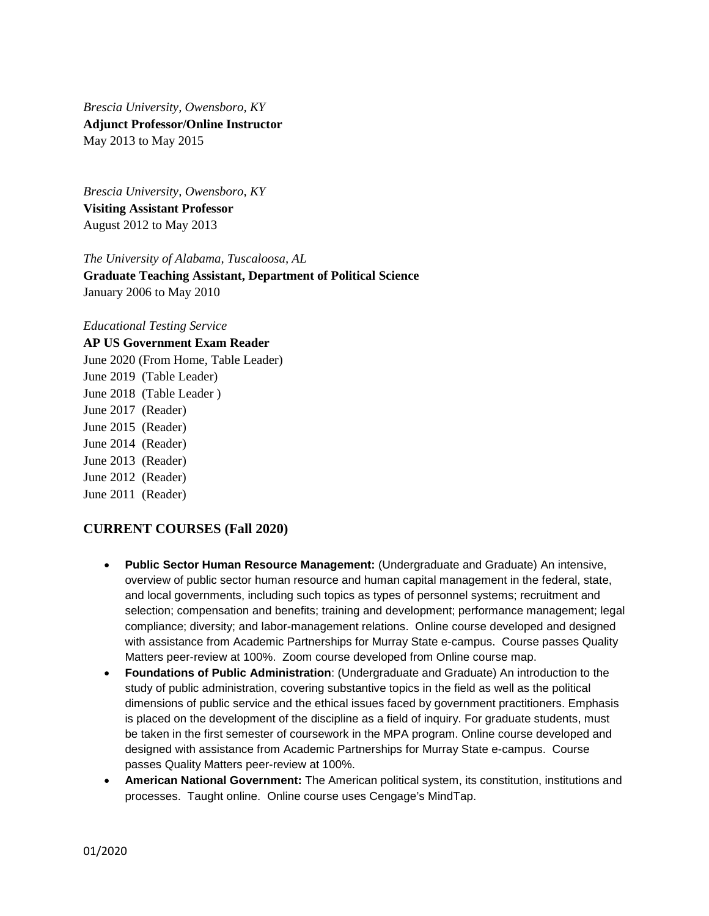*Brescia University, Owensboro, KY* **Adjunct Professor/Online Instructor** May 2013 to May 2015

*Brescia University, Owensboro, KY* **Visiting Assistant Professor** August 2012 to May 2013

*The University of Alabama, Tuscaloosa, AL* 

**Graduate Teaching Assistant, Department of Political Science** January 2006 to May 2010

*Educational Testing Service*

**AP US Government Exam Reader**

June 2020 (From Home, Table Leader) June 2019 (Table Leader) June 2018 (Table Leader ) June 2017 (Reader) June 2015 (Reader) June 2014 (Reader) June 2013 (Reader) June 2012 (Reader) June 2011 (Reader)

# **CURRENT COURSES (Fall 2020)**

- **Public Sector Human Resource Management:** (Undergraduate and Graduate) An intensive, overview of public sector human resource and human capital management in the federal, state, and local governments, including such topics as types of personnel systems; recruitment and selection; compensation and benefits; training and development; performance management; legal compliance; diversity; and labor-management relations. Online course developed and designed with assistance from Academic Partnerships for Murray State e-campus. Course passes Quality Matters peer-review at 100%. Zoom course developed from Online course map.
- **Foundations of Public Administration**: (Undergraduate and Graduate) An introduction to the study of public administration, covering substantive topics in the field as well as the political dimensions of public service and the ethical issues faced by government practitioners. Emphasis is placed on the development of the discipline as a field of inquiry. For graduate students, must be taken in the first semester of coursework in the MPA program. Online course developed and designed with assistance from Academic Partnerships for Murray State e-campus. Course passes Quality Matters peer-review at 100%.
- **American National Government:** The American political system, its constitution, institutions and processes. Taught online. Online course uses Cengage's MindTap.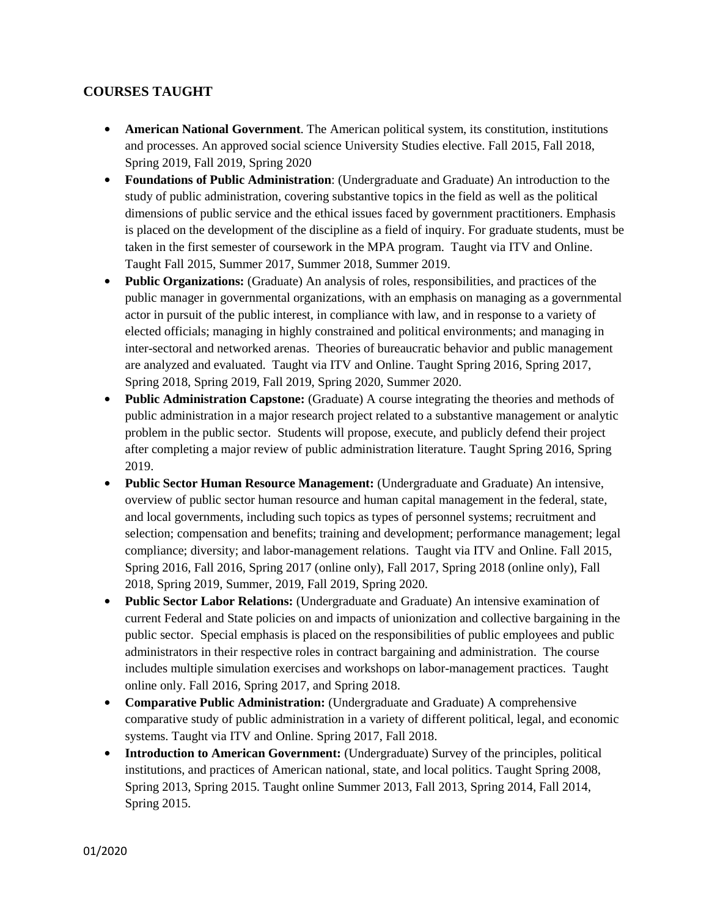# **COURSES TAUGHT**

- **American National Government**. The American political system, its constitution, institutions and processes. An approved social science University Studies elective. Fall 2015, Fall 2018, Spring 2019, Fall 2019, Spring 2020
- **• Foundations of Public Administration**: (Undergraduate and Graduate) An introduction to the study of public administration, covering substantive topics in the field as well as the political dimensions of public service and the ethical issues faced by government practitioners. Emphasis is placed on the development of the discipline as a field of inquiry. For graduate students, must be taken in the first semester of coursework in the MPA program. Taught via ITV and Online. Taught Fall 2015, Summer 2017, Summer 2018, Summer 2019.
- **• Public Organizations:** (Graduate) An analysis of roles, responsibilities, and practices of the public manager in governmental organizations, with an emphasis on managing as a governmental actor in pursuit of the public interest, in compliance with law, and in response to a variety of elected officials; managing in highly constrained and political environments; and managing in inter-sectoral and networked arenas. Theories of bureaucratic behavior and public management are analyzed and evaluated. Taught via ITV and Online. Taught Spring 2016, Spring 2017, Spring 2018, Spring 2019, Fall 2019, Spring 2020, Summer 2020.
- **Public Administration Capstone:** (Graduate) A course integrating the theories and methods of public administration in a major research project related to a substantive management or analytic problem in the public sector. Students will propose, execute, and publicly defend their project after completing a major review of public administration literature. Taught Spring 2016, Spring 2019.
- **• Public Sector Human Resource Management:** (Undergraduate and Graduate) An intensive, overview of public sector human resource and human capital management in the federal, state, and local governments, including such topics as types of personnel systems; recruitment and selection; compensation and benefits; training and development; performance management; legal compliance; diversity; and labor-management relations. Taught via ITV and Online. Fall 2015, Spring 2016, Fall 2016, Spring 2017 (online only), Fall 2017, Spring 2018 (online only), Fall 2018, Spring 2019, Summer, 2019, Fall 2019, Spring 2020.
- **• Public Sector Labor Relations:** (Undergraduate and Graduate) An intensive examination of current Federal and State policies on and impacts of unionization and collective bargaining in the public sector. Special emphasis is placed on the responsibilities of public employees and public administrators in their respective roles in contract bargaining and administration. The course includes multiple simulation exercises and workshops on labor-management practices. Taught online only. Fall 2016, Spring 2017, and Spring 2018.
- **• Comparative Public Administration:** (Undergraduate and Graduate) A comprehensive comparative study of public administration in a variety of different political, legal, and economic systems. Taught via ITV and Online. Spring 2017, Fall 2018.
- **• Introduction to American Government:** (Undergraduate) Survey of the principles, political institutions, and practices of American national, state, and local politics. Taught Spring 2008, Spring 2013, Spring 2015. Taught online Summer 2013, Fall 2013, Spring 2014, Fall 2014, Spring 2015.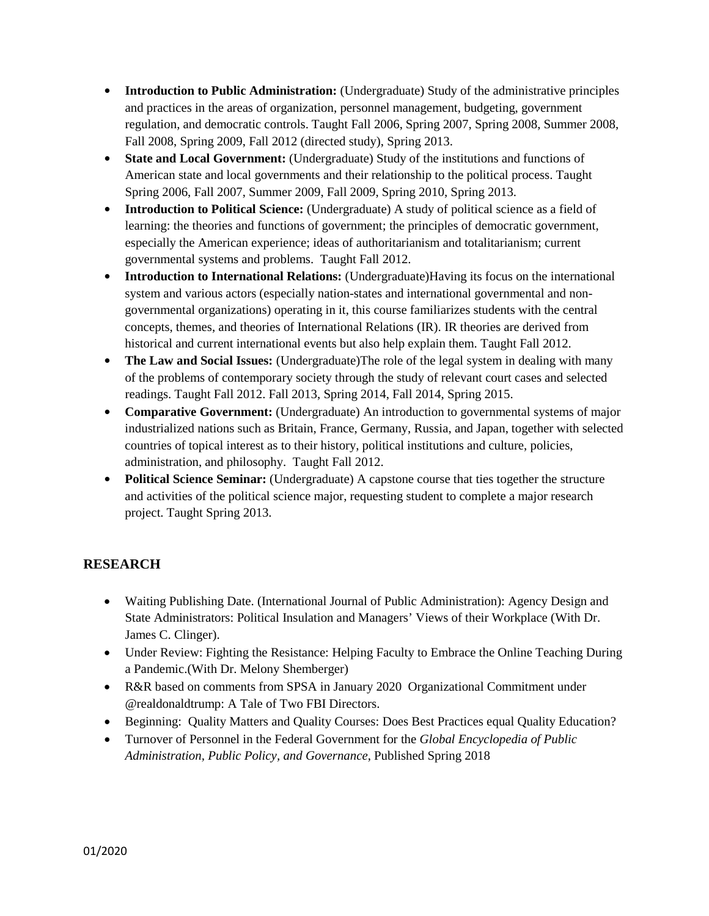- **• Introduction to Public Administration:** (Undergraduate) Study of the administrative principles and practices in the areas of organization, personnel management, budgeting, government regulation, and democratic controls. Taught Fall 2006, Spring 2007, Spring 2008, Summer 2008, Fall 2008, Spring 2009, Fall 2012 (directed study), Spring 2013.
- **• State and Local Government:** (Undergraduate) Study of the institutions and functions of American state and local governments and their relationship to the political process. Taught Spring 2006, Fall 2007, Summer 2009, Fall 2009, Spring 2010, Spring 2013.
- **• Introduction to Political Science:** (Undergraduate) A study of political science as a field of learning: the theories and functions of government; the principles of democratic government, especially the American experience; ideas of authoritarianism and totalitarianism; current governmental systems and problems. Taught Fall 2012.
- **• Introduction to International Relations:** (Undergraduate)Having its focus on the international system and various actors (especially nation-states and international governmental and nongovernmental organizations) operating in it, this course familiarizes students with the central concepts, themes, and theories of International Relations (IR). IR theories are derived from historical and current international events but also help explain them. Taught Fall 2012.
- **The Law and Social Issues:** (Undergraduate)The role of the legal system in dealing with many of the problems of contemporary society through the study of relevant court cases and selected readings. Taught Fall 2012. Fall 2013, Spring 2014, Fall 2014, Spring 2015.
- **• Comparative Government:** (Undergraduate) An introduction to governmental systems of major industrialized nations such as Britain, France, Germany, Russia, and Japan, together with selected countries of topical interest as to their history, political institutions and culture, policies, administration, and philosophy. Taught Fall 2012.
- **• Political Science Seminar:** (Undergraduate) A capstone course that ties together the structure and activities of the political science major, requesting student to complete a major research project. Taught Spring 2013.

# **RESEARCH**

- Waiting Publishing Date. (International Journal of Public Administration): Agency Design and State Administrators: Political Insulation and Managers' Views of their Workplace (With Dr. James C. Clinger).
- Under Review: Fighting the Resistance: Helping Faculty to Embrace the Online Teaching During a Pandemic.(With Dr. Melony Shemberger)
- R&R based on comments from SPSA in January 2020 Organizational Commitment under @realdonaldtrump: A Tale of Two FBI Directors.
- Beginning: Quality Matters and Quality Courses: Does Best Practices equal Quality Education?
- Turnover of Personnel in the Federal Government for the *Global Encyclopedia of Public Administration, Public Policy, and Governance*, Published Spring 2018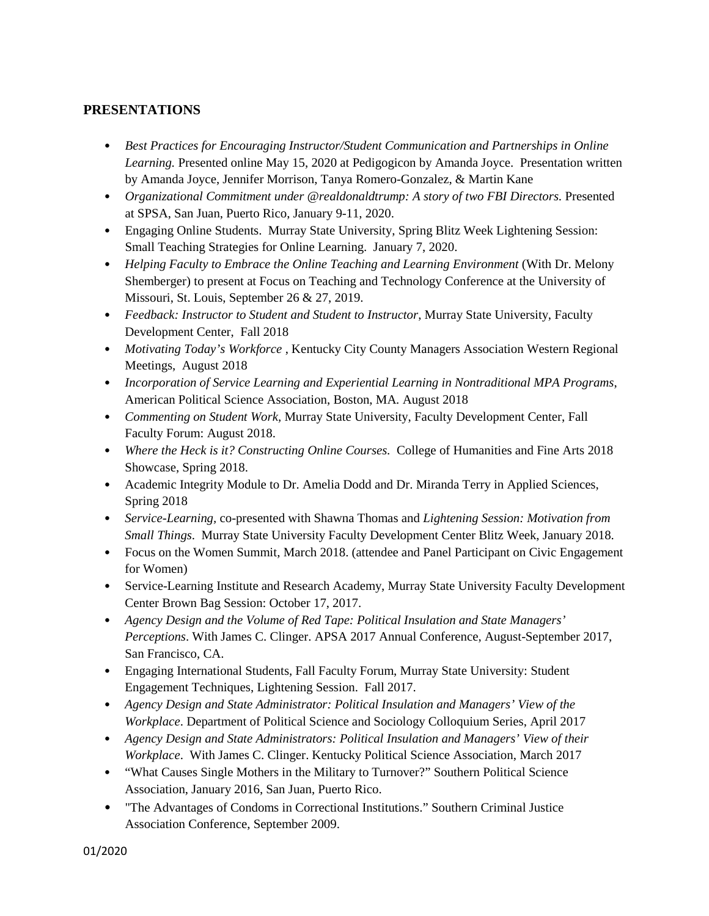# **PRESENTATIONS**

- *Best Practices for Encouraging Instructor/Student Communication and Partnerships in Online Learning.* Presented online May 15, 2020 at Pedigogicon by Amanda Joyce. Presentation written by Amanda Joyce, Jennifer Morrison, Tanya Romero-Gonzalez, & Martin Kane
- *Organizational Commitment under @realdonaldtrump: A story of two FBI Directors. Presented* at SPSA, San Juan, Puerto Rico, January 9-11, 2020.
- Engaging Online Students. Murray State University, Spring Blitz Week Lightening Session: Small Teaching Strategies for Online Learning. January 7, 2020.
- *Helping Faculty to Embrace the Online Teaching and Learning Environment* (With Dr. Melony Shemberger) to present at Focus on Teaching and Technology Conference at the University of Missouri, St. Louis, September 26 & 27, 2019.
- *Feedback: Instructor to Student and Student to Instructor*, Murray State University, Faculty Development Center, Fall 2018
- *Motivating Today's Workforce* , Kentucky City County Managers Association Western Regional Meetings, August 2018
- *Incorporation of Service Learning and Experiential Learning in Nontraditional MPA Programs*, American Political Science Association, Boston, MA*.* August 2018
- *Commenting on Student Work,* Murray State University, Faculty Development Center, Fall Faculty Forum: August 2018.
- *Where the Heck is it? Constructing Online Courses.* College of Humanities and Fine Arts 2018 Showcase, Spring 2018.
- Academic Integrity Module to Dr. Amelia Dodd and Dr. Miranda Terry in Applied Sciences, Spring 2018
- *Service-Learning,* co-presented with Shawna Thomas and *Lightening Session: Motivation from Small Things*. Murray State University Faculty Development Center Blitz Week, January 2018.
- Focus on the Women Summit, March 2018. (attendee and Panel Participant on Civic Engagement for Women)
- Service-Learning Institute and Research Academy, Murray State University Faculty Development Center Brown Bag Session: October 17, 2017.
- *Agency Design and the Volume of Red Tape: Political Insulation and State Managers' Perceptions*. With James C. Clinger. APSA 2017 Annual Conference, August-September 2017, San Francisco, CA.
- Engaging International Students, Fall Faculty Forum, Murray State University: Student Engagement Techniques, Lightening Session. Fall 2017.
- *Agency Design and State Administrator: Political Insulation and Managers' View of the Workplace*. Department of Political Science and Sociology Colloquium Series, April 2017
- *Agency Design and State Administrators: Political Insulation and Managers' View of their Workplace*. With James C. Clinger. Kentucky Political Science Association, March 2017
- "What Causes Single Mothers in the Military to Turnover?" Southern Political Science Association, January 2016, San Juan, Puerto Rico.
- "The Advantages of Condoms in Correctional Institutions." Southern Criminal Justice Association Conference, September 2009.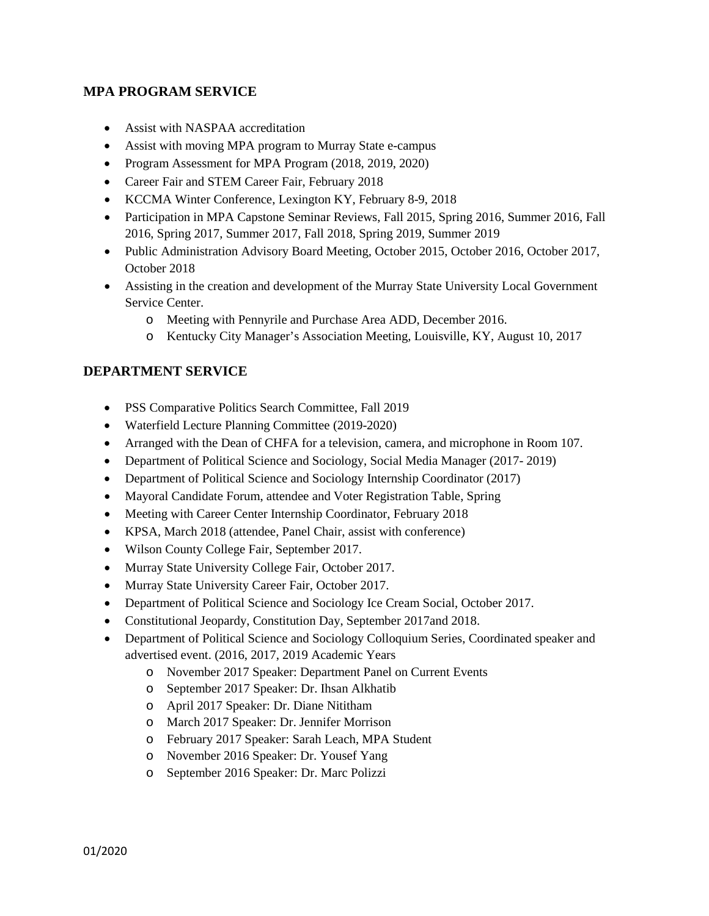## **MPA PROGRAM SERVICE**

- Assist with NASPAA accreditation
- Assist with moving MPA program to Murray State e-campus
- Program Assessment for MPA Program (2018, 2019, 2020)
- Career Fair and STEM Career Fair, February 2018
- KCCMA Winter Conference, Lexington KY, February 8-9, 2018
- Participation in MPA Capstone Seminar Reviews, Fall 2015, Spring 2016, Summer 2016, Fall 2016, Spring 2017, Summer 2017, Fall 2018, Spring 2019, Summer 2019
- Public Administration Advisory Board Meeting, October 2015, October 2016, October 2017, October 2018
- Assisting in the creation and development of the Murray State University Local Government Service Center.
	- o Meeting with Pennyrile and Purchase Area ADD, December 2016.
	- o Kentucky City Manager's Association Meeting, Louisville, KY, August 10, 2017

#### **DEPARTMENT SERVICE**

- PSS Comparative Politics Search Committee, Fall 2019
- Waterfield Lecture Planning Committee (2019-2020)
- Arranged with the Dean of CHFA for a television, camera, and microphone in Room 107.
- Department of Political Science and Sociology, Social Media Manager (2017-2019)
- Department of Political Science and Sociology Internship Coordinator (2017)
- Mayoral Candidate Forum, attendee and Voter Registration Table, Spring
- Meeting with Career Center Internship Coordinator, February 2018
- KPSA, March 2018 (attendee, Panel Chair, assist with conference)
- Wilson County College Fair, September 2017.
- Murray State University College Fair, October 2017.
- Murray State University Career Fair, October 2017.
- Department of Political Science and Sociology Ice Cream Social, October 2017.
- Constitutional Jeopardy, Constitution Day, September 2017 and 2018.
- Department of Political Science and Sociology Colloquium Series, Coordinated speaker and advertised event. (2016, 2017, 2019 Academic Years
	- o November 2017 Speaker: Department Panel on Current Events
	- o September 2017 Speaker: Dr. Ihsan Alkhatib
	- o April 2017 Speaker: Dr. Diane Nititham
	- o March 2017 Speaker: Dr. Jennifer Morrison
	- o February 2017 Speaker: Sarah Leach, MPA Student
	- o November 2016 Speaker: Dr. Yousef Yang
	- o September 2016 Speaker: Dr. Marc Polizzi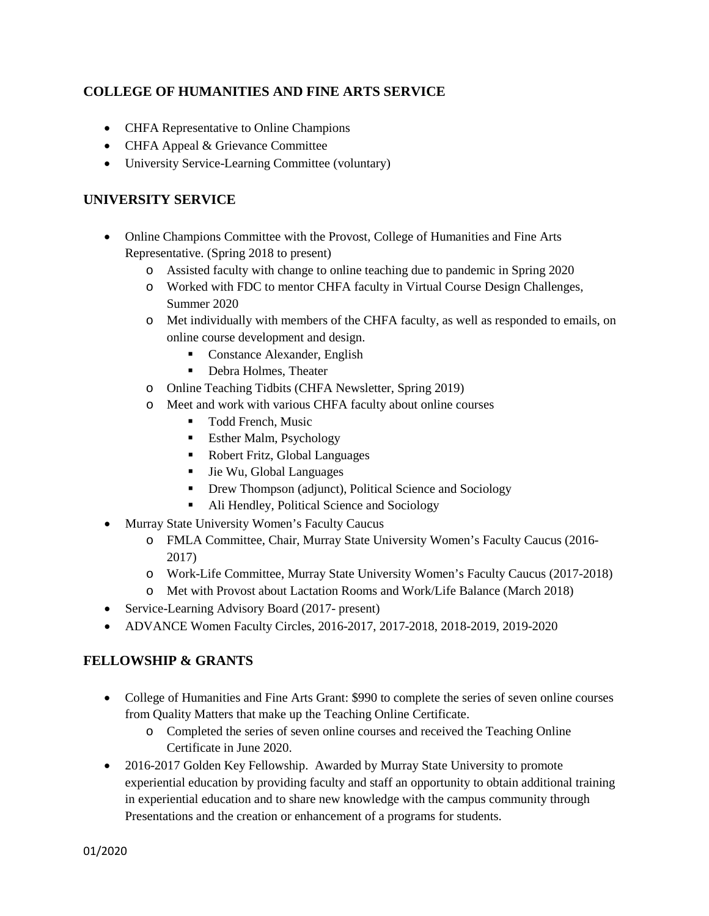# **COLLEGE OF HUMANITIES AND FINE ARTS SERVICE**

- CHFA Representative to Online Champions
- CHFA Appeal & Grievance Committee
- University Service-Learning Committee (voluntary)

# **UNIVERSITY SERVICE**

- Online Champions Committee with the Provost, College of Humanities and Fine Arts Representative. (Spring 2018 to present)
	- o Assisted faculty with change to online teaching due to pandemic in Spring 2020
	- o Worked with FDC to mentor CHFA faculty in Virtual Course Design Challenges, Summer 2020
	- o Met individually with members of the CHFA faculty, as well as responded to emails, on online course development and design.
		- Constance Alexander, English
		- Debra Holmes, Theater
	- o Online Teaching Tidbits (CHFA Newsletter, Spring 2019)
	- o Meet and work with various CHFA faculty about online courses
		- Todd French, Music
		- **Esther Malm, Psychology**
		- Robert Fritz, Global Languages
		- Jie Wu, Global Languages
		- **•** Drew Thompson (adjunct), Political Science and Sociology
		- Ali Hendley, Political Science and Sociology
- Murray State University Women's Faculty Caucus
	- o FMLA Committee, Chair, Murray State University Women's Faculty Caucus (2016- 2017)
	- o Work-Life Committee, Murray State University Women's Faculty Caucus (2017-2018)
	- o Met with Provost about Lactation Rooms and Work/Life Balance (March 2018)
- Service-Learning Advisory Board (2017- present)
- ADVANCE Women Faculty Circles, 2016-2017, 2017-2018, 2018-2019, 2019-2020

# **FELLOWSHIP & GRANTS**

- College of Humanities and Fine Arts Grant: \$990 to complete the series of seven online courses from Quality Matters that make up the Teaching Online Certificate.
	- o Completed the series of seven online courses and received the Teaching Online Certificate in June 2020.
- 2016-2017 Golden Key Fellowship. Awarded by Murray State University to promote experiential education by providing faculty and staff an opportunity to obtain additional training in experiential education and to share new knowledge with the campus community through Presentations and the creation or enhancement of a programs for students.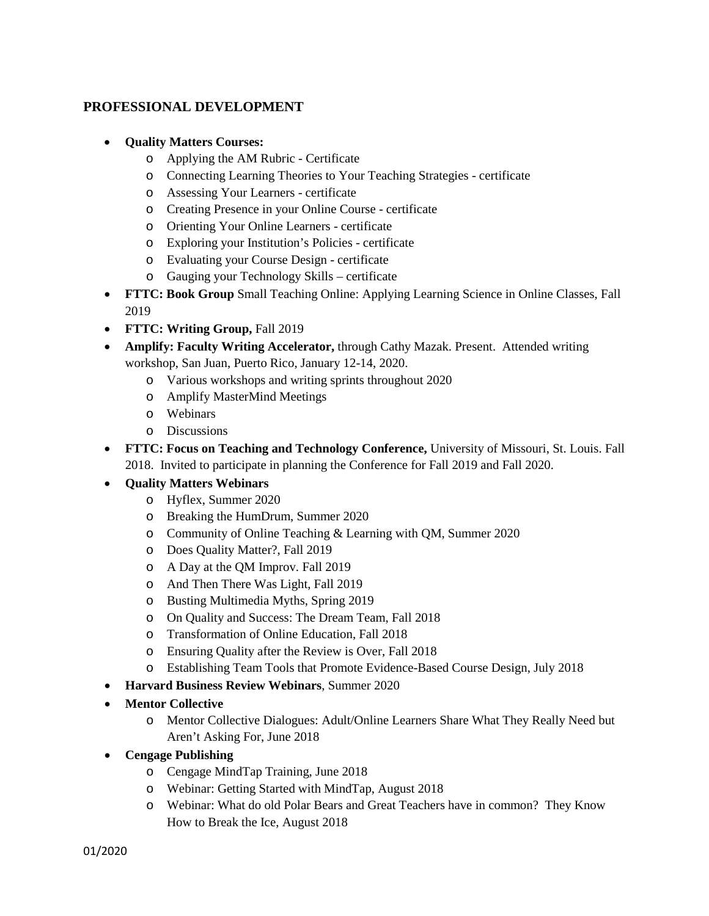## **PROFESSIONAL DEVELOPMENT**

- **Quality Matters Courses:**
	- o Applying the AM Rubric Certificate
	- o Connecting Learning Theories to Your Teaching Strategies certificate
	- o Assessing Your Learners certificate
	- o Creating Presence in your Online Course certificate
	- o Orienting Your Online Learners certificate
	- o Exploring your Institution's Policies certificate
	- o Evaluating your Course Design certificate
	- o Gauging your Technology Skills certificate
- **FTTC: Book Group** Small Teaching Online: Applying Learning Science in Online Classes, Fall 2019
- **FTTC: Writing Group,** Fall 2019
- **Amplify: Faculty Writing Accelerator,** through Cathy Mazak. Present. Attended writing workshop, San Juan, Puerto Rico, January 12-14, 2020.
	- o Various workshops and writing sprints throughout 2020
	- o Amplify MasterMind Meetings
	- o Webinars
	- o Discussions
- **FTTC: Focus on Teaching and Technology Conference,** University of Missouri, St. Louis. Fall 2018. Invited to participate in planning the Conference for Fall 2019 and Fall 2020.
- **Quality Matters Webinars**
	- o Hyflex, Summer 2020
	- o Breaking the HumDrum, Summer 2020
	- o Community of Online Teaching & Learning with QM, Summer 2020
	- o Does Quality Matter?, Fall 2019
	- o A Day at the QM Improv. Fall 2019
	- o And Then There Was Light, Fall 2019
	- o Busting Multimedia Myths, Spring 2019
	- o On Quality and Success: The Dream Team, Fall 2018
	- o Transformation of Online Education, Fall 2018
	- o Ensuring Quality after the Review is Over, Fall 2018
	- o Establishing Team Tools that Promote Evidence-Based Course Design, July 2018
- **Harvard Business Review Webinars**, Summer 2020
- **Mentor Collective**
	- o Mentor Collective Dialogues: Adult/Online Learners Share What They Really Need but Aren't Asking For, June 2018
- **Cengage Publishing**
	- o Cengage MindTap Training, June 2018
	- o Webinar: Getting Started with MindTap, August 2018
	- o Webinar: What do old Polar Bears and Great Teachers have in common? They Know How to Break the Ice, August 2018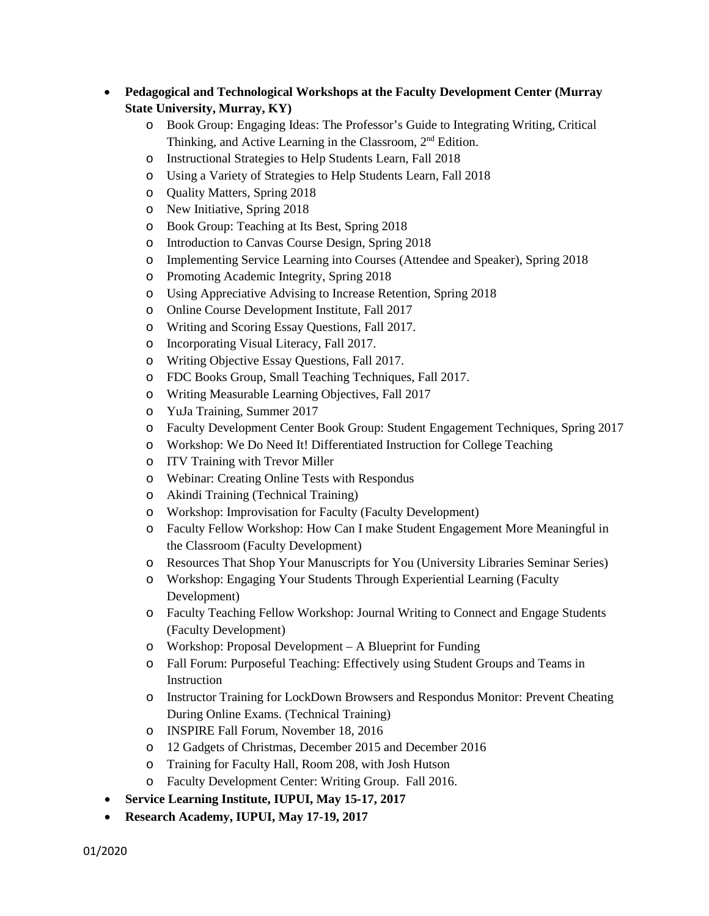- **Pedagogical and Technological Workshops at the Faculty Development Center (Murray State University, Murray, KY)**
	- o Book Group: Engaging Ideas: The Professor's Guide to Integrating Writing, Critical Thinking, and Active Learning in the Classroom, 2<sup>nd</sup> Edition.
	- o Instructional Strategies to Help Students Learn, Fall 2018
	- o Using a Variety of Strategies to Help Students Learn, Fall 2018
	- o Quality Matters, Spring 2018
	- o New Initiative, Spring 2018
	- o Book Group: Teaching at Its Best, Spring 2018
	- o Introduction to Canvas Course Design, Spring 2018
	- o Implementing Service Learning into Courses (Attendee and Speaker), Spring 2018
	- o Promoting Academic Integrity, Spring 2018
	- o Using Appreciative Advising to Increase Retention, Spring 2018
	- o Online Course Development Institute, Fall 2017
	- o Writing and Scoring Essay Questions, Fall 2017.
	- o Incorporating Visual Literacy, Fall 2017.
	- o Writing Objective Essay Questions, Fall 2017.
	- o FDC Books Group, Small Teaching Techniques, Fall 2017.
	- o Writing Measurable Learning Objectives, Fall 2017
	- o YuJa Training, Summer 2017
	- o Faculty Development Center Book Group: Student Engagement Techniques, Spring 2017
	- o Workshop: We Do Need It! Differentiated Instruction for College Teaching
	- o ITV Training with Trevor Miller
	- o Webinar: Creating Online Tests with Respondus
	- o Akindi Training (Technical Training)
	- o Workshop: Improvisation for Faculty (Faculty Development)
	- o Faculty Fellow Workshop: How Can I make Student Engagement More Meaningful in the Classroom (Faculty Development)
	- o Resources That Shop Your Manuscripts for You (University Libraries Seminar Series)
	- o Workshop: Engaging Your Students Through Experiential Learning (Faculty Development)
	- o Faculty Teaching Fellow Workshop: Journal Writing to Connect and Engage Students (Faculty Development)
	- o Workshop: Proposal Development A Blueprint for Funding
	- o Fall Forum: Purposeful Teaching: Effectively using Student Groups and Teams in Instruction
	- o Instructor Training for LockDown Browsers and Respondus Monitor: Prevent Cheating During Online Exams. (Technical Training)
	- o INSPIRE Fall Forum, November 18, 2016
	- o 12 Gadgets of Christmas, December 2015 and December 2016
	- o Training for Faculty Hall, Room 208, with Josh Hutson
	- o Faculty Development Center: Writing Group. Fall 2016.
- **Service Learning Institute, IUPUI, May 15-17, 2017**
- **Research Academy, IUPUI, May 17-19, 2017**